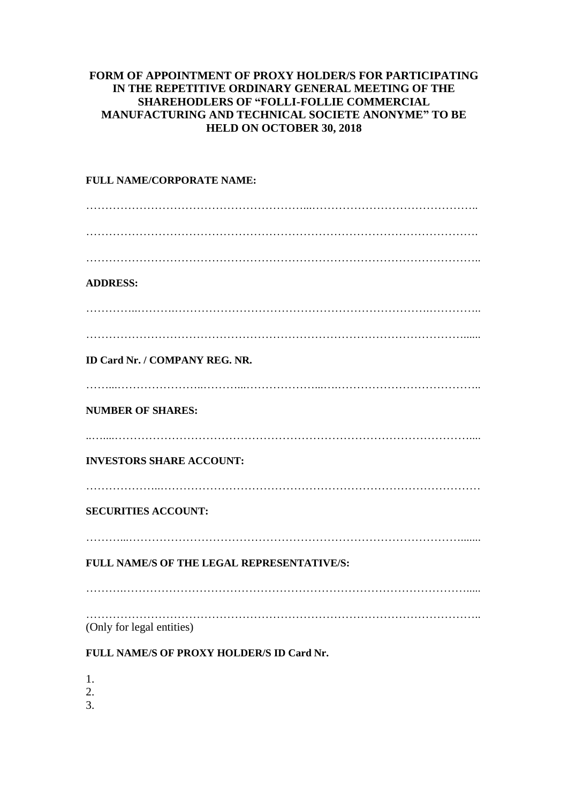## **FORM OF APPOINTMENT OF PROXY HOLDER/S FOR PARTICIPATING IN THE REPETITIVE ORDINARY GENERAL MEETING OF THE SHAREHODLERS OF "FOLLI-FOLLIE COMMERCIAL MANUFACTURING AND TECHNICAL SOCIETE ANONYME" TO BE HELD ON OCTOBER 30, 2018**

## **FULL NAME/CORPORATE NAME:** …………………………………………………...…………………………………….. …………………………………………………………………………………………. ………………………………………………………………………………………….. **ADDRESS:** …………..……….………………………………………………………….………….. ………………………………………………………………………………………...... **ID Card Nr. / COMPANY REG. NR.** ……...…………………..………...………………...….……………………………….. **NUMBER OF SHARES:** ..…....………………………………………………………………………………….... **INVESTORS SHARE ACCOUNT:** ………………..………………………………………………………………………… **SECURITIES ACCOUNT:** ………...……………………………………………………………………………....... **FULL NAME/S OF THE LEGAL REPRESENTATIVE/S:** ……….………………………………………………………………………………..... ………………………………………………………………………………………….. (Only for legal entities)

## **FULL NAME/S OF PROXY HOLDER/S ID Card Nr.**

1.

2.

3.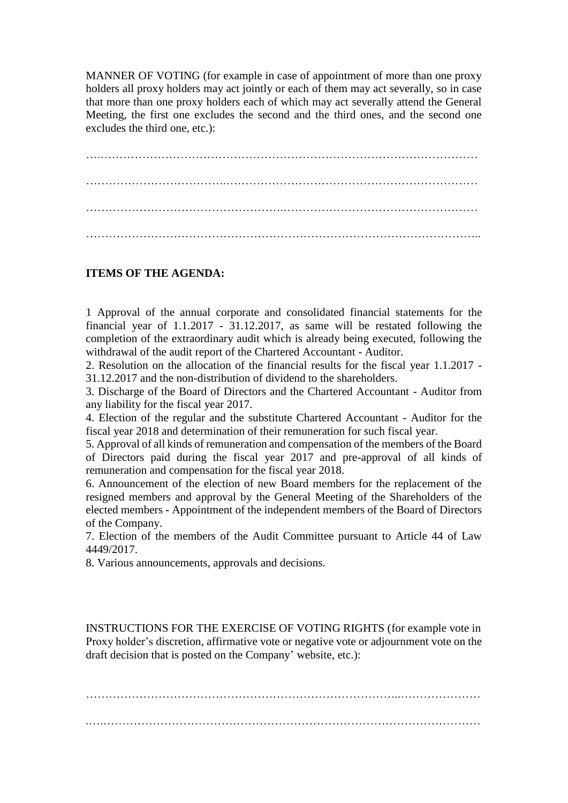MANNER OF VOTING (for example in case of appointment of more than one proxy holders all proxy holders may act jointly or each of them may act severally, so in case that more than one proxy holders each of which may act severally attend the General Meeting, the first one excludes the second and the third ones, and the second one excludes the third one, etc.):

….……………………………………………………………………………………… ……………………………….………………………………………………………… …………………………………………….…………………………………………… …………………………………………………………………………………………..

## **ITEMS OF THE AGENDA:**

1 Approval of the annual corporate and consolidated financial statements for the financial year of 1.1.2017 - 31.12.2017, as same will be restated following the completion of the extraordinary audit which is already being executed, following the withdrawal of the audit report of the Chartered Accountant - Auditor.

2. Resolution on the allocation of the financial results for the fiscal year 1.1.2017 - 31.12.2017 and the non-distribution of dividend to the shareholders.

3. Discharge of the Board of Directors and the Chartered Accountant - Auditor from any liability for the fiscal year 2017.

4. Election of the regular and the substitute Chartered Accountant - Auditor for the fiscal year 2018 and determination of their remuneration for such fiscal year.

5. Approval of all kinds of remuneration and compensation of the members of the Board of Directors paid during the fiscal year 2017 and pre-approval of all kinds of remuneration and compensation for the fiscal year 2018.

6. Announcement of the election of new Board members for the replacement of the resigned members and approval by the General Meeting of the Shareholders of the elected members - Appointment of the independent members of the Board of Directors of the Company.

7. Election of the members of the Audit Committee pursuant to Article 44 of Law 4449/2017.

8. Various announcements, approvals and decisions.

INSTRUCTIONS FOR THE EXERCISE OF VOTING RIGHTS (for example vote in Proxy holder's discretion, affirmative vote or negative vote or adjournment vote on the draft decision that is posted on the Company' website, etc.):

………………………………………………………………………..………………… .….………………………………………………………………………………………